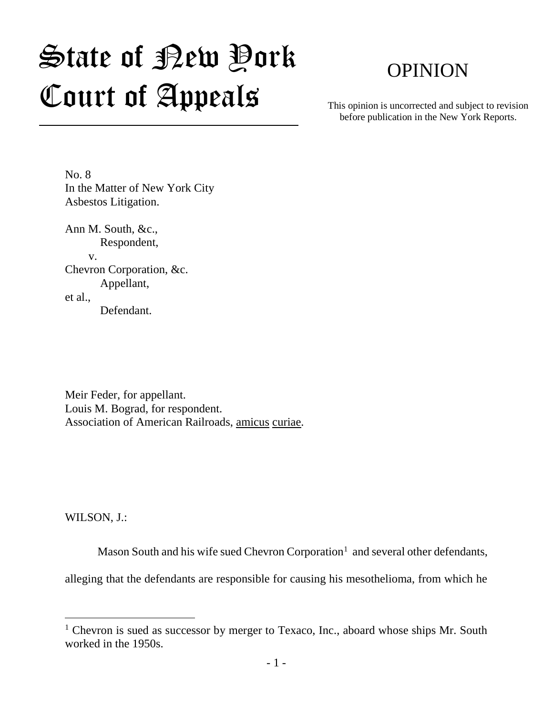# State of Rew Pork Court of Appeals

# OPINION

This opinion is uncorrected and subject to revision before publication in the New York Reports.

No. 8 In the Matter of New York City Asbestos Litigation.

Ann M. South, &c., Respondent, v. Chevron Corporation, &c. Appellant, et al., Defendant.

Meir Feder, for appellant. Louis M. Bograd, for respondent. Association of American Railroads, amicus curiae.

WILSON, J.:

 $\overline{a}$ 

Mason South and his wife sued Chevron Corporation<sup>1</sup> and several other defendants,

alleging that the defendants are responsible for causing his mesothelioma, from which he

<sup>&</sup>lt;sup>1</sup> Chevron is sued as successor by merger to Texaco, Inc., aboard whose ships Mr. South worked in the 1950s.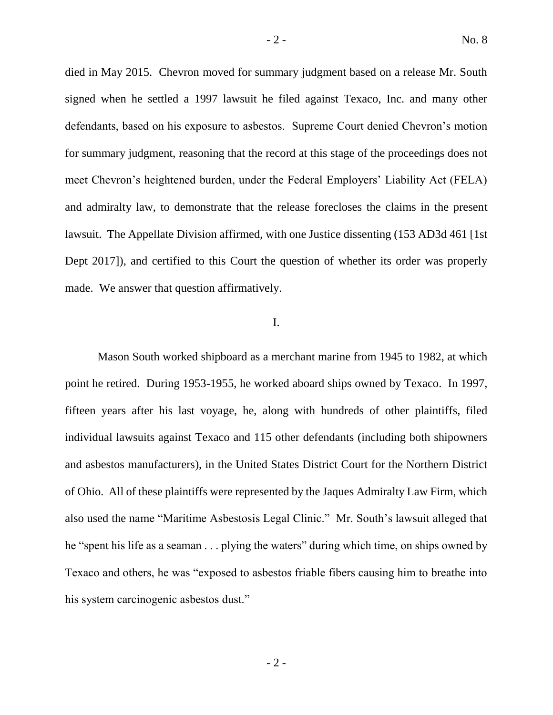died in May 2015. Chevron moved for summary judgment based on a release Mr. South signed when he settled a 1997 lawsuit he filed against Texaco, Inc. and many other defendants, based on his exposure to asbestos. Supreme Court denied Chevron's motion for summary judgment, reasoning that the record at this stage of the proceedings does not meet Chevron's heightened burden, under the Federal Employers' Liability Act (FELA) and admiralty law, to demonstrate that the release forecloses the claims in the present lawsuit. The Appellate Division affirmed, with one Justice dissenting (153 AD3d 461 [1st Dept 2017]), and certified to this Court the question of whether its order was properly made. We answer that question affirmatively.

# I.

Mason South worked shipboard as a merchant marine from 1945 to 1982, at which point he retired. During 1953-1955, he worked aboard ships owned by Texaco. In 1997, fifteen years after his last voyage, he, along with hundreds of other plaintiffs, filed individual lawsuits against Texaco and 115 other defendants (including both shipowners and asbestos manufacturers), in the United States District Court for the Northern District of Ohio. All of these plaintiffs were represented by the Jaques Admiralty Law Firm, which also used the name "Maritime Asbestosis Legal Clinic." Mr. South's lawsuit alleged that he "spent his life as a seaman . . . plying the waters" during which time, on ships owned by Texaco and others, he was "exposed to asbestos friable fibers causing him to breathe into his system carcinogenic asbestos dust."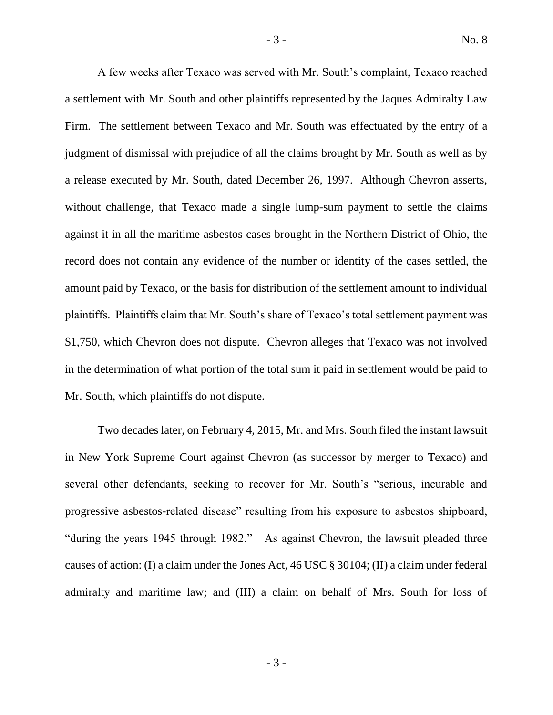A few weeks after Texaco was served with Mr. South's complaint, Texaco reached a settlement with Mr. South and other plaintiffs represented by the Jaques Admiralty Law Firm. The settlement between Texaco and Mr. South was effectuated by the entry of a judgment of dismissal with prejudice of all the claims brought by Mr. South as well as by a release executed by Mr. South, dated December 26, 1997. Although Chevron asserts, without challenge, that Texaco made a single lump-sum payment to settle the claims against it in all the maritime asbestos cases brought in the Northern District of Ohio, the record does not contain any evidence of the number or identity of the cases settled, the amount paid by Texaco, or the basis for distribution of the settlement amount to individual plaintiffs. Plaintiffs claim that Mr. South's share of Texaco's total settlement payment was \$1,750, which Chevron does not dispute. Chevron alleges that Texaco was not involved in the determination of what portion of the total sum it paid in settlement would be paid to Mr. South, which plaintiffs do not dispute.

Two decades later, on February 4, 2015, Mr. and Mrs. South filed the instant lawsuit in New York Supreme Court against Chevron (as successor by merger to Texaco) and several other defendants, seeking to recover for Mr. South's "serious, incurable and progressive asbestos-related disease" resulting from his exposure to asbestos shipboard, "during the years 1945 through 1982." As against Chevron, the lawsuit pleaded three causes of action: (I) a claim under the Jones Act, 46 USC § 30104; (II) a claim under federal admiralty and maritime law; and (III) a claim on behalf of Mrs. South for loss of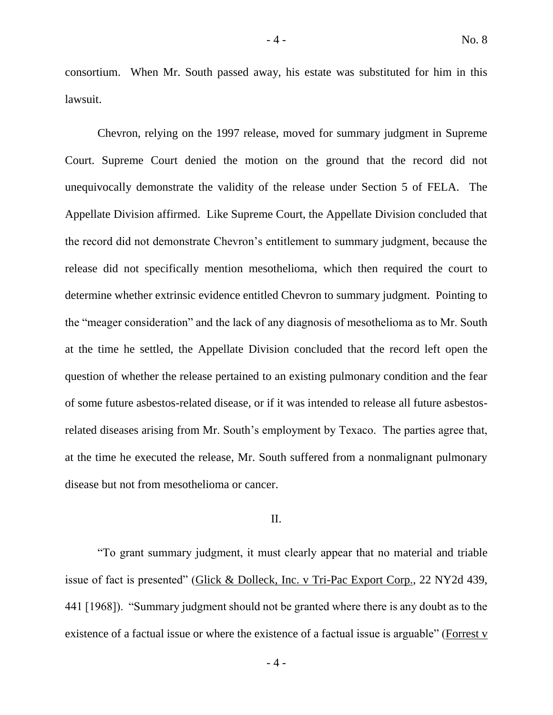consortium. When Mr. South passed away, his estate was substituted for him in this lawsuit.

Chevron, relying on the 1997 release, moved for summary judgment in Supreme Court. Supreme Court denied the motion on the ground that the record did not unequivocally demonstrate the validity of the release under Section 5 of FELA. The Appellate Division affirmed. Like Supreme Court, the Appellate Division concluded that the record did not demonstrate Chevron's entitlement to summary judgment, because the release did not specifically mention mesothelioma, which then required the court to determine whether extrinsic evidence entitled Chevron to summary judgment. Pointing to the "meager consideration" and the lack of any diagnosis of mesothelioma as to Mr. South at the time he settled, the Appellate Division concluded that the record left open the question of whether the release pertained to an existing pulmonary condition and the fear of some future asbestos-related disease, or if it was intended to release all future asbestosrelated diseases arising from Mr. South's employment by Texaco. The parties agree that, at the time he executed the release, Mr. South suffered from a nonmalignant pulmonary disease but not from mesothelioma or cancer.

# II.

"To grant summary judgment, it must clearly appear that no material and triable issue of fact is presented" (Glick & Dolleck, Inc. v Tri-Pac Export Corp., 22 NY2d 439, 441 [1968]). "Summary judgment should not be granted where there is any doubt as to the existence of a factual issue or where the existence of a factual issue is arguable" (Forrest v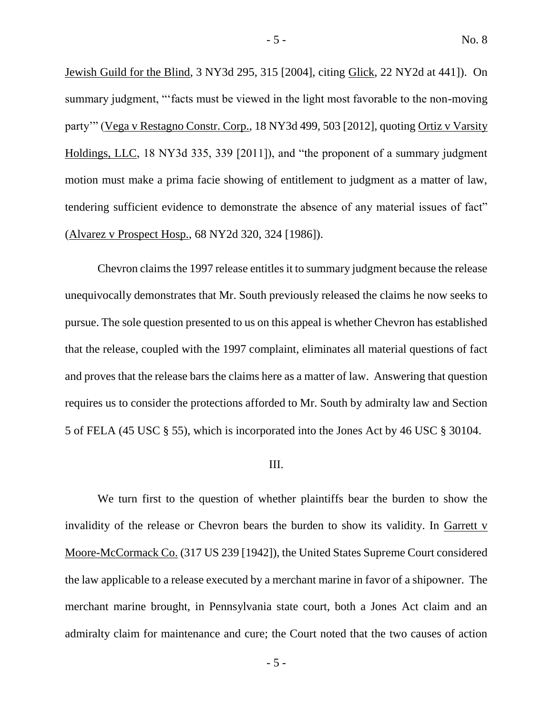Jewish Guild for the Blind, 3 NY3d 295, 315 [2004], citing Glick, 22 NY2d at 441]). On summary judgment, "'facts must be viewed in the light most favorable to the non-moving party'" (Vega v Restagno Constr. Corp., 18 NY3d 499, 503 [2012], quoting Ortiz v Varsity Holdings, LLC, 18 NY3d 335, 339 [2011]), and "the proponent of a summary judgment motion must make a prima facie showing of entitlement to judgment as a matter of law, tendering sufficient evidence to demonstrate the absence of any material issues of fact" (Alvarez v Prospect Hosp., 68 NY2d 320, 324 [1986]).

Chevron claims the 1997 release entitles it to summary judgment because the release unequivocally demonstrates that Mr. South previously released the claims he now seeks to pursue. The sole question presented to us on this appeal is whether Chevron has established that the release, coupled with the 1997 complaint, eliminates all material questions of fact and proves that the release bars the claims here as a matter of law. Answering that question requires us to consider the protections afforded to Mr. South by admiralty law and Section 5 of FELA (45 USC § 55), which is incorporated into the Jones Act by 46 USC § 30104.

# III.

We turn first to the question of whether plaintiffs bear the burden to show the invalidity of the release or Chevron bears the burden to show its validity. In Garrett v Moore-McCormack Co. (317 US 239 [1942]), the United States Supreme Court considered the law applicable to a release executed by a merchant marine in favor of a shipowner. The merchant marine brought, in Pennsylvania state court, both a Jones Act claim and an admiralty claim for maintenance and cure; the Court noted that the two causes of action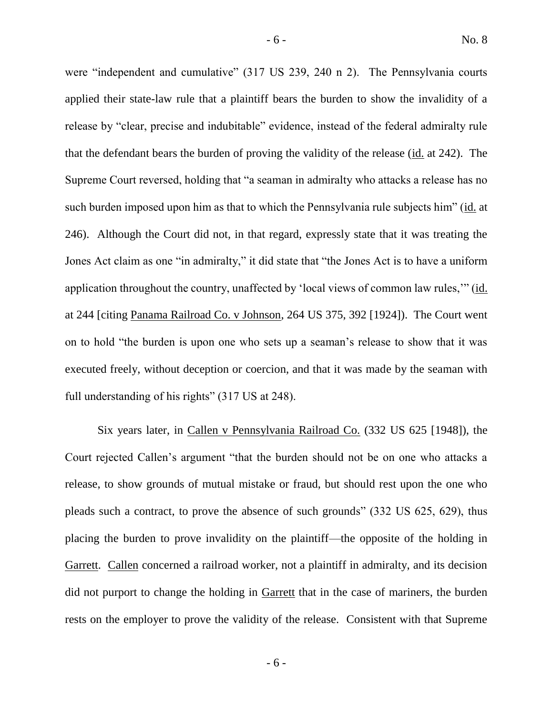were "independent and cumulative" (317 US 239, 240 n 2). The Pennsylvania courts applied their state-law rule that a plaintiff bears the burden to show the invalidity of a release by "clear, precise and indubitable" evidence, instead of the federal admiralty rule that the defendant bears the burden of proving the validity of the release (id. at 242). The Supreme Court reversed, holding that "a seaman in admiralty who attacks a release has no such burden imposed upon him as that to which the Pennsylvania rule subjects him" (id. at 246). Although the Court did not, in that regard, expressly state that it was treating the Jones Act claim as one "in admiralty," it did state that "the Jones Act is to have a uniform application throughout the country, unaffected by 'local views of common law rules,'" (id. at 244 [citing Panama Railroad Co. v Johnson, 264 US 375, 392 [1924]). The Court went on to hold "the burden is upon one who sets up a seaman's release to show that it was executed freely, without deception or coercion, and that it was made by the seaman with full understanding of his rights" (317 US at 248).

Six years later, in Callen v Pennsylvania Railroad Co. (332 US 625 [1948]), the Court rejected Callen's argument "that the burden should not be on one who attacks a release, to show grounds of mutual mistake or fraud, but should rest upon the one who pleads such a contract, to prove the absence of such grounds" (332 US 625, 629), thus placing the burden to prove invalidity on the plaintiff—the opposite of the holding in Garrett. Callen concerned a railroad worker, not a plaintiff in admiralty, and its decision did not purport to change the holding in Garrett that in the case of mariners, the burden rests on the employer to prove the validity of the release. Consistent with that Supreme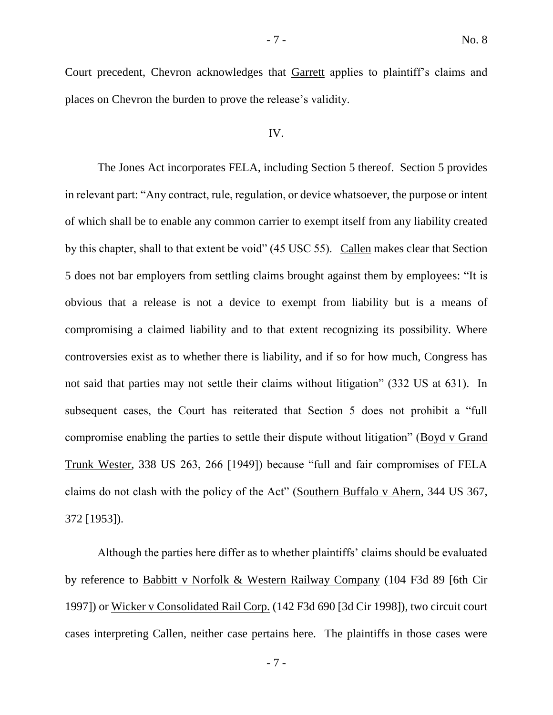Court precedent, Chevron acknowledges that Garrett applies to plaintiff's claims and places on Chevron the burden to prove the release's validity.

#### IV.

The Jones Act incorporates FELA, including Section 5 thereof. Section 5 provides in relevant part: "Any contract, rule, regulation, or device whatsoever, the purpose or intent of which shall be to enable any common carrier to exempt itself from any liability created by this chapter, shall to that extent be void" (45 USC 55). Callen makes clear that Section 5 does not bar employers from settling claims brought against them by employees: "It is obvious that a release is not a device to exempt from liability but is a means of compromising a claimed liability and to that extent recognizing its possibility. Where controversies exist as to whether there is liability, and if so for how much, Congress has not said that parties may not settle their claims without litigation" (332 US at 631). In subsequent cases, the Court has reiterated that Section 5 does not prohibit a "full compromise enabling the parties to settle their dispute without litigation" (Boyd v Grand Trunk Wester, 338 US 263, 266 [1949]) because "full and fair compromises of FELA claims do not clash with the policy of the Act" (Southern Buffalo v Ahern, 344 US 367, 372 [1953]).

Although the parties here differ as to whether plaintiffs' claims should be evaluated by reference to Babbitt v Norfolk & Western Railway Company (104 F3d 89 [6th Cir 1997]) or Wicker v Consolidated Rail Corp. (142 F3d 690 [3d Cir 1998]), two circuit court cases interpreting Callen, neither case pertains here. The plaintiffs in those cases were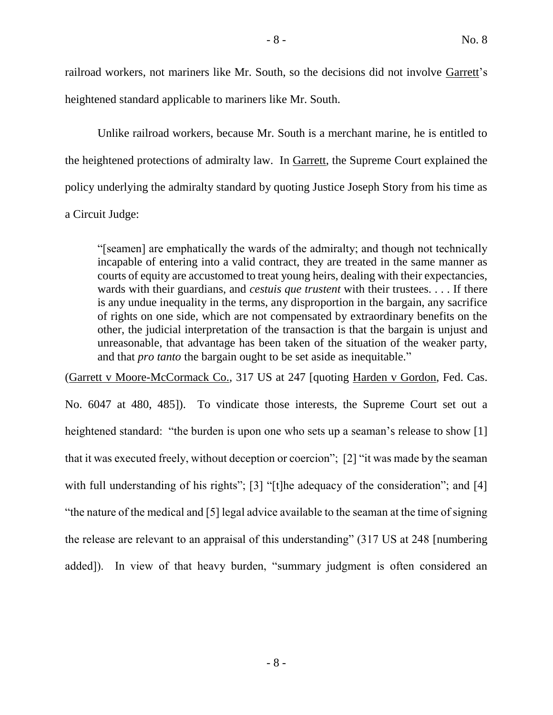railroad workers, not mariners like Mr. South, so the decisions did not involve Garrett's heightened standard applicable to mariners like Mr. South.

Unlike railroad workers, because Mr. South is a merchant marine, he is entitled to the heightened protections of admiralty law. In Garrett, the Supreme Court explained the policy underlying the admiralty standard by quoting Justice Joseph Story from his time as a Circuit Judge:

"[seamen] are emphatically the wards of the admiralty; and though not technically incapable of entering into a valid contract, they are treated in the same manner as courts of equity are accustomed to treat young heirs, dealing with their expectancies, wards with their guardians, and *cestuis que trustent* with their trustees. . . . If there is any undue inequality in the terms, any disproportion in the bargain, any sacrifice of rights on one side, which are not compensated by extraordinary benefits on the other, the judicial interpretation of the transaction is that the bargain is unjust and unreasonable, that advantage has been taken of the situation of the weaker party, and that *pro tanto* the bargain ought to be set aside as inequitable."

(Garrett v Moore-McCormack Co., 317 US at 247 [quoting Harden v Gordon, Fed. Cas.

No. 6047 at 480, 485]). To vindicate those interests, the Supreme Court set out a heightened standard: "the burden is upon one who sets up a seaman's release to show [1] that it was executed freely, without deception or coercion"; [2] "it was made by the seaman with full understanding of his rights"; [3] "[t]he adequacy of the consideration"; and [4] "the nature of the medical and [5] legal advice available to the seaman at the time of signing the release are relevant to an appraisal of this understanding" (317 US at 248 [numbering added]). In view of that heavy burden, "summary judgment is often considered an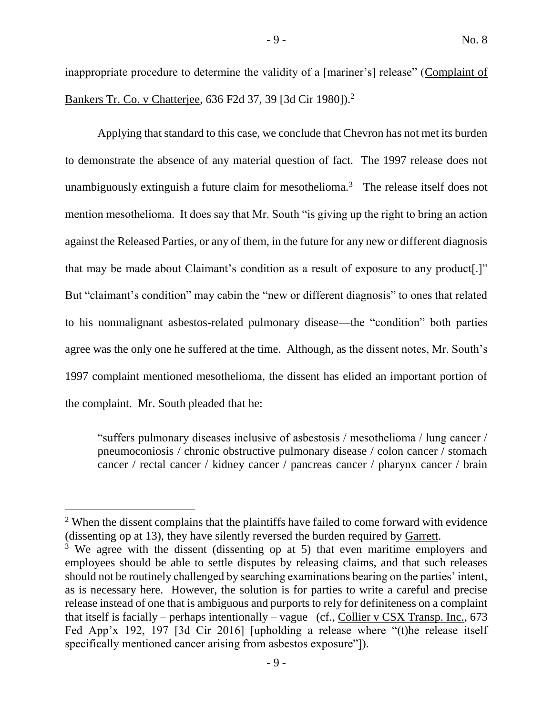inappropriate procedure to determine the validity of a [mariner's] release" (Complaint of Bankers Tr. Co. v Chatterjee, 636 F2d 37, 39 [3d Cir 1980]).<sup>2</sup>

Applying that standard to this case, we conclude that Chevron has not met its burden to demonstrate the absence of any material question of fact. The 1997 release does not unambiguously extinguish a future claim for mesothelioma.<sup>3</sup> The release itself does not mention mesothelioma. It does say that Mr. South "is giving up the right to bring an action against the Released Parties, or any of them, in the future for any new or different diagnosis that may be made about Claimant's condition as a result of exposure to any product[.]" But "claimant's condition" may cabin the "new or different diagnosis" to ones that related to his nonmalignant asbestos-related pulmonary disease—the "condition" both parties agree was the only one he suffered at the time. Although, as the dissent notes, Mr. South's 1997 complaint mentioned mesothelioma, the dissent has elided an important portion of the complaint. Mr. South pleaded that he:

"suffers pulmonary diseases inclusive of asbestosis / mesothelioma / lung cancer / pneumoconiosis / chronic obstructive pulmonary disease / colon cancer / stomach cancer / rectal cancer / kidney cancer / pancreas cancer / pharynx cancer / brain

<sup>&</sup>lt;sup>2</sup> When the dissent complains that the plaintiffs have failed to come forward with evidence (dissenting op at 13), they have silently reversed the burden required by Garrett.

<sup>&</sup>lt;sup>3</sup> We agree with the dissent (dissenting op at 5) that even maritime employers and employees should be able to settle disputes by releasing claims, and that such releases should not be routinely challenged by searching examinations bearing on the parties' intent, as is necessary here. However, the solution is for parties to write a careful and precise release instead of one that is ambiguous and purports to rely for definiteness on a complaint that itself is facially – perhaps intentionally – vague (cf., Collier v CSX Transp. Inc., 673 Fed App'x 192, 197 [3d Cir 2016] [upholding a release where "(t)he release itself specifically mentioned cancer arising from asbestos exposure"]).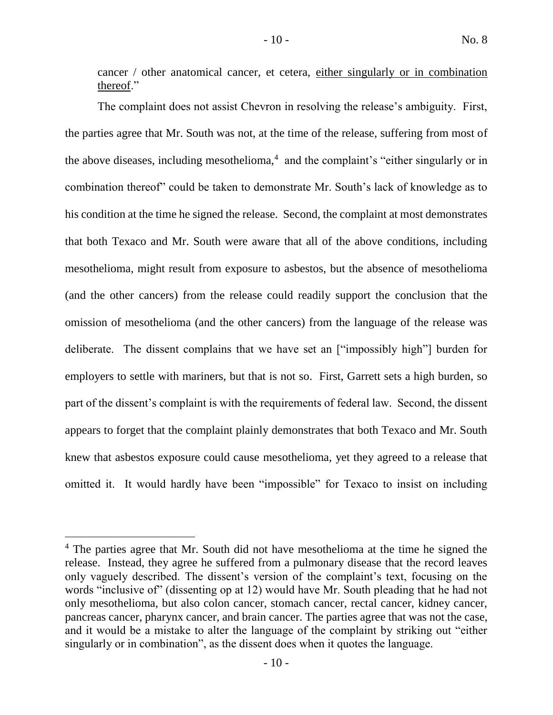cancer / other anatomical cancer, et cetera, either singularly or in combination thereof."

The complaint does not assist Chevron in resolving the release's ambiguity. First, the parties agree that Mr. South was not, at the time of the release, suffering from most of the above diseases, including mesothelioma, $4$  and the complaint's "either singularly or in combination thereof" could be taken to demonstrate Mr. South's lack of knowledge as to his condition at the time he signed the release. Second, the complaint at most demonstrates that both Texaco and Mr. South were aware that all of the above conditions, including mesothelioma, might result from exposure to asbestos, but the absence of mesothelioma (and the other cancers) from the release could readily support the conclusion that the omission of mesothelioma (and the other cancers) from the language of the release was deliberate. The dissent complains that we have set an ["impossibly high"] burden for employers to settle with mariners, but that is not so. First, Garrett sets a high burden, so part of the dissent's complaint is with the requirements of federal law. Second, the dissent appears to forget that the complaint plainly demonstrates that both Texaco and Mr. South knew that asbestos exposure could cause mesothelioma, yet they agreed to a release that omitted it. It would hardly have been "impossible" for Texaco to insist on including

<sup>&</sup>lt;sup>4</sup> The parties agree that Mr. South did not have mesothelioma at the time he signed the release. Instead, they agree he suffered from a pulmonary disease that the record leaves only vaguely described. The dissent's version of the complaint's text, focusing on the words "inclusive of" (dissenting op at 12) would have Mr. South pleading that he had not only mesothelioma, but also colon cancer, stomach cancer, rectal cancer, kidney cancer, pancreas cancer, pharynx cancer, and brain cancer. The parties agree that was not the case, and it would be a mistake to alter the language of the complaint by striking out "either singularly or in combination", as the dissent does when it quotes the language.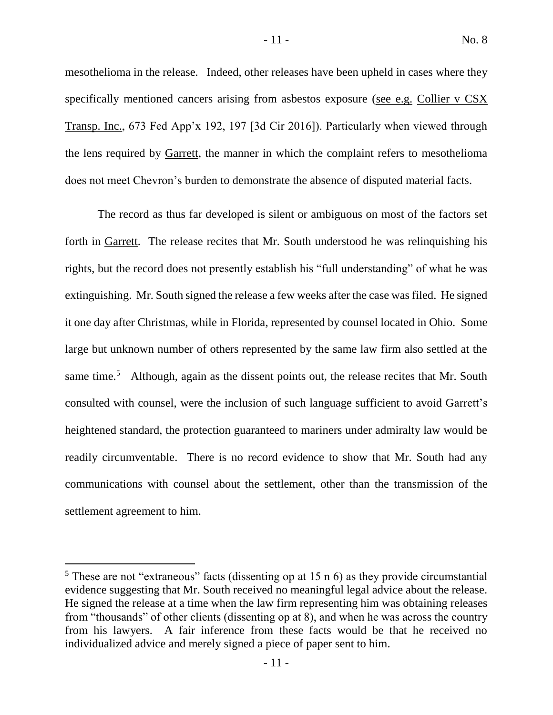mesothelioma in the release. Indeed, other releases have been upheld in cases where they specifically mentioned cancers arising from asbestos exposure (see e.g. Collier v CSX Transp. Inc., 673 Fed App'x 192, 197 [3d Cir 2016]). Particularly when viewed through the lens required by Garrett, the manner in which the complaint refers to mesothelioma does not meet Chevron's burden to demonstrate the absence of disputed material facts.

The record as thus far developed is silent or ambiguous on most of the factors set forth in Garrett. The release recites that Mr. South understood he was relinquishing his rights, but the record does not presently establish his "full understanding" of what he was extinguishing. Mr. South signed the release a few weeks after the case was filed. He signed it one day after Christmas, while in Florida, represented by counsel located in Ohio. Some large but unknown number of others represented by the same law firm also settled at the same time.<sup>5</sup> Although, again as the dissent points out, the release recites that Mr. South consulted with counsel, were the inclusion of such language sufficient to avoid Garrett's heightened standard, the protection guaranteed to mariners under admiralty law would be readily circumventable. There is no record evidence to show that Mr. South had any communications with counsel about the settlement, other than the transmission of the settlement agreement to him.

 $5$  These are not "extraneous" facts (dissenting op at 15 n 6) as they provide circumstantial evidence suggesting that Mr. South received no meaningful legal advice about the release. He signed the release at a time when the law firm representing him was obtaining releases from "thousands" of other clients (dissenting op at 8), and when he was across the country from his lawyers. A fair inference from these facts would be that he received no individualized advice and merely signed a piece of paper sent to him.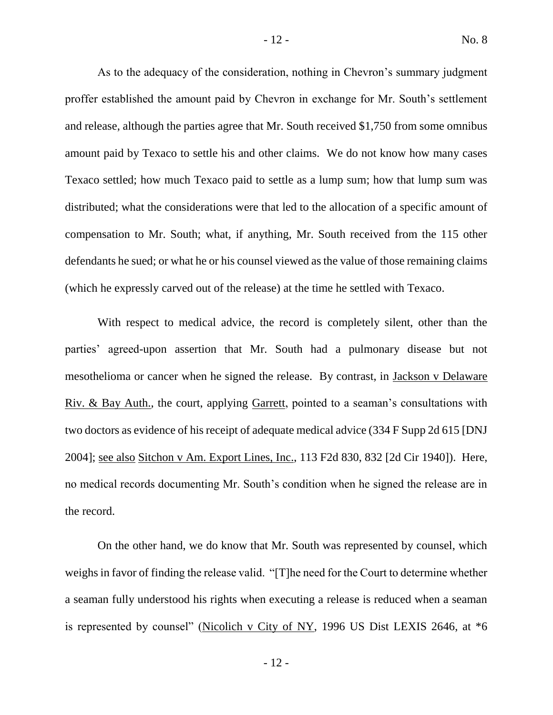As to the adequacy of the consideration, nothing in Chevron's summary judgment proffer established the amount paid by Chevron in exchange for Mr. South's settlement and release, although the parties agree that Mr. South received \$1,750 from some omnibus amount paid by Texaco to settle his and other claims. We do not know how many cases Texaco settled; how much Texaco paid to settle as a lump sum; how that lump sum was distributed; what the considerations were that led to the allocation of a specific amount of compensation to Mr. South; what, if anything, Mr. South received from the 115 other defendants he sued; or what he or his counsel viewed as the value of those remaining claims (which he expressly carved out of the release) at the time he settled with Texaco.

With respect to medical advice, the record is completely silent, other than the parties' agreed-upon assertion that Mr. South had a pulmonary disease but not mesothelioma or cancer when he signed the release. By contrast, in Jackson v Delaware Riv. & Bay Auth., the court, applying Garrett, pointed to a seaman's consultations with two doctors as evidence of his receipt of adequate medical advice (334 F Supp 2d 615 [DNJ 2004]; see also Sitchon v Am. Export Lines, Inc., 113 F2d 830, 832 [2d Cir 1940]). Here, no medical records documenting Mr. South's condition when he signed the release are in the record.

On the other hand, we do know that Mr. South was represented by counsel, which weighs in favor of finding the release valid. "[T]he need for the Court to determine whether a seaman fully understood his rights when executing a release is reduced when a seaman is represented by counsel" (Nicolich v City of NY, 1996 US Dist LEXIS 2646, at \*6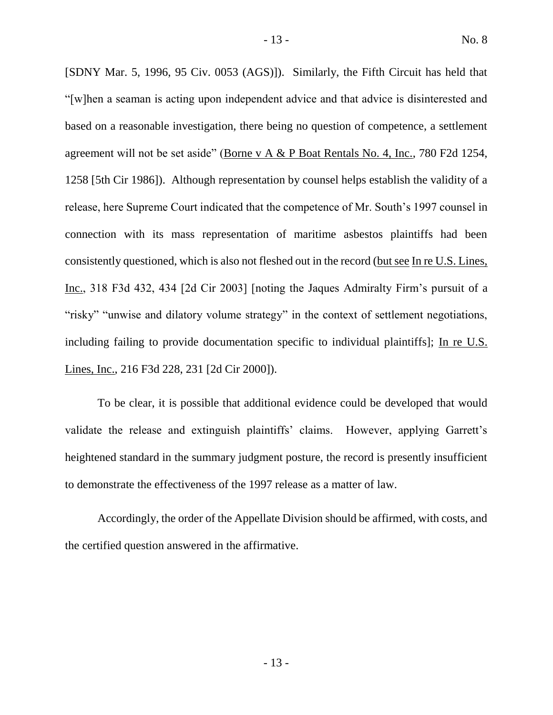[SDNY Mar. 5, 1996, 95 Civ. 0053 (AGS)]). Similarly, the Fifth Circuit has held that "[w]hen a seaman is acting upon independent advice and that advice is disinterested and based on a reasonable investigation, there being no question of competence, a settlement agreement will not be set aside" (Borne v A & P Boat Rentals No. 4, Inc., 780 F2d 1254, 1258 [5th Cir 1986]). Although representation by counsel helps establish the validity of a release, here Supreme Court indicated that the competence of Mr. South's 1997 counsel in connection with its mass representation of maritime asbestos plaintiffs had been consistently questioned, which is also not fleshed out in the record (but see In re U.S. Lines, Inc., 318 F3d 432, 434 [2d Cir 2003] [noting the Jaques Admiralty Firm's pursuit of a "risky" "unwise and dilatory volume strategy" in the context of settlement negotiations, including failing to provide documentation specific to individual plaintiffs]; In re U.S. Lines, Inc., 216 F3d 228, 231 [2d Cir 2000]).

To be clear, it is possible that additional evidence could be developed that would validate the release and extinguish plaintiffs' claims. However, applying Garrett's heightened standard in the summary judgment posture, the record is presently insufficient to demonstrate the effectiveness of the 1997 release as a matter of law.

Accordingly, the order of the Appellate Division should be affirmed, with costs, and the certified question answered in the affirmative.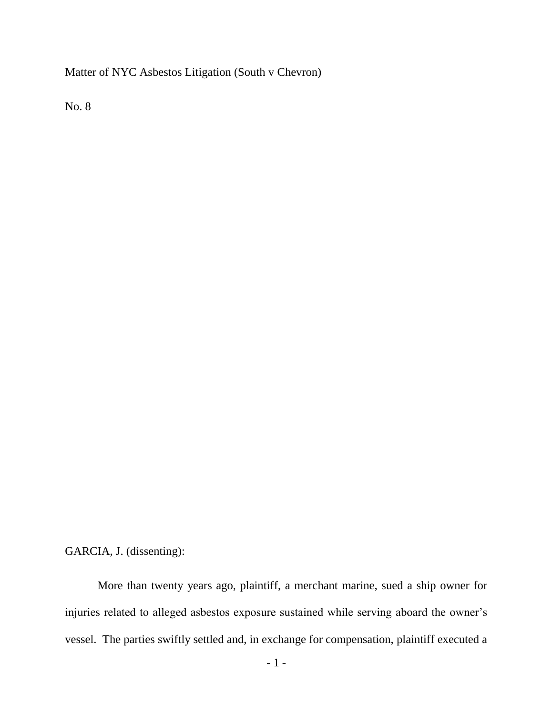Matter of NYC Asbestos Litigation (South v Chevron)

No. 8

GARCIA, J. (dissenting):

More than twenty years ago, plaintiff, a merchant marine, sued a ship owner for injuries related to alleged asbestos exposure sustained while serving aboard the owner's vessel. The parties swiftly settled and, in exchange for compensation, plaintiff executed a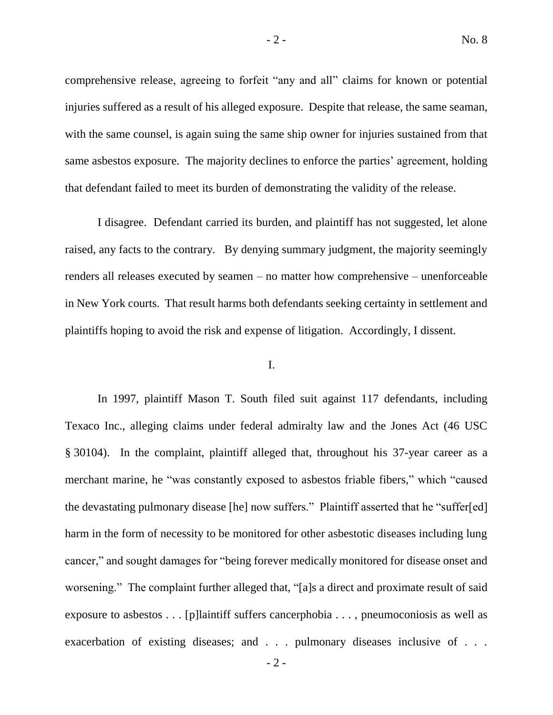comprehensive release, agreeing to forfeit "any and all" claims for known or potential injuries suffered as a result of his alleged exposure. Despite that release, the same seaman, with the same counsel, is again suing the same ship owner for injuries sustained from that same asbestos exposure. The majority declines to enforce the parties' agreement, holding that defendant failed to meet its burden of demonstrating the validity of the release.

I disagree. Defendant carried its burden, and plaintiff has not suggested, let alone raised, any facts to the contrary. By denying summary judgment, the majority seemingly renders all releases executed by seamen – no matter how comprehensive – unenforceable in New York courts. That result harms both defendants seeking certainty in settlement and plaintiffs hoping to avoid the risk and expense of litigation. Accordingly, I dissent.

# I.

In 1997, plaintiff Mason T. South filed suit against 117 defendants, including Texaco Inc., alleging claims under federal admiralty law and the Jones Act (46 USC § 30104). In the complaint, plaintiff alleged that, throughout his 37-year career as a merchant marine, he "was constantly exposed to asbestos friable fibers," which "caused the devastating pulmonary disease [he] now suffers." Plaintiff asserted that he "suffer[ed] harm in the form of necessity to be monitored for other asbestotic diseases including lung cancer," and sought damages for "being forever medically monitored for disease onset and worsening." The complaint further alleged that, "[a]s a direct and proximate result of said exposure to asbestos . . . [p]laintiff suffers cancerphobia . . . , pneumoconiosis as well as exacerbation of existing diseases; and . . . pulmonary diseases inclusive of . . .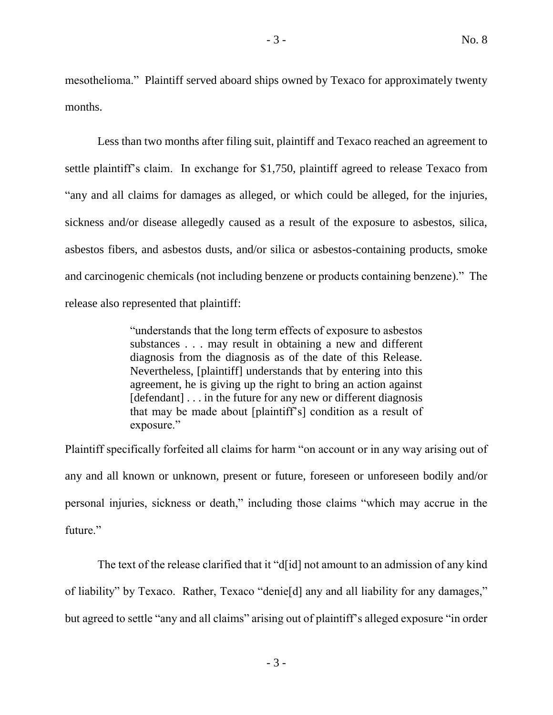mesothelioma." Plaintiff served aboard ships owned by Texaco for approximately twenty months.

Less than two months after filing suit, plaintiff and Texaco reached an agreement to settle plaintiff's claim. In exchange for \$1,750, plaintiff agreed to release Texaco from "any and all claims for damages as alleged, or which could be alleged, for the injuries, sickness and/or disease allegedly caused as a result of the exposure to asbestos, silica, asbestos fibers, and asbestos dusts, and/or silica or asbestos-containing products, smoke and carcinogenic chemicals (not including benzene or products containing benzene)." The release also represented that plaintiff:

> "understands that the long term effects of exposure to asbestos substances . . . may result in obtaining a new and different diagnosis from the diagnosis as of the date of this Release. Nevertheless, [plaintiff] understands that by entering into this agreement, he is giving up the right to bring an action against [defendant] . . . in the future for any new or different diagnosis that may be made about [plaintiff's] condition as a result of exposure."

Plaintiff specifically forfeited all claims for harm "on account or in any way arising out of any and all known or unknown, present or future, foreseen or unforeseen bodily and/or personal injuries, sickness or death," including those claims "which may accrue in the future."

The text of the release clarified that it "d[id] not amount to an admission of any kind of liability" by Texaco. Rather, Texaco "denie[d] any and all liability for any damages," but agreed to settle "any and all claims" arising out of plaintiff's alleged exposure "in order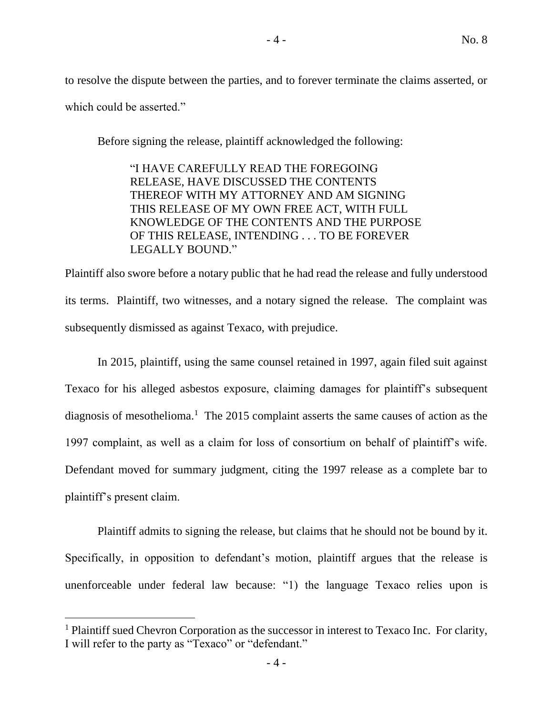to resolve the dispute between the parties, and to forever terminate the claims asserted, or which could be asserted."

Before signing the release, plaintiff acknowledged the following:

"I HAVE CAREFULLY READ THE FOREGOING RELEASE, HAVE DISCUSSED THE CONTENTS THEREOF WITH MY ATTORNEY AND AM SIGNING THIS RELEASE OF MY OWN FREE ACT, WITH FULL KNOWLEDGE OF THE CONTENTS AND THE PURPOSE OF THIS RELEASE, INTENDING . . . TO BE FOREVER LEGALLY BOUND."

Plaintiff also swore before a notary public that he had read the release and fully understood its terms. Plaintiff, two witnesses, and a notary signed the release. The complaint was subsequently dismissed as against Texaco, with prejudice.

In 2015, plaintiff, using the same counsel retained in 1997, again filed suit against Texaco for his alleged asbestos exposure, claiming damages for plaintiff's subsequent diagnosis of mesothelioma.<sup>1</sup> The 2015 complaint asserts the same causes of action as the 1997 complaint, as well as a claim for loss of consortium on behalf of plaintiff's wife. Defendant moved for summary judgment, citing the 1997 release as a complete bar to plaintiff's present claim.

Plaintiff admits to signing the release, but claims that he should not be bound by it. Specifically, in opposition to defendant's motion, plaintiff argues that the release is unenforceable under federal law because: "1) the language Texaco relies upon is

<sup>&</sup>lt;sup>1</sup> Plaintiff sued Chevron Corporation as the successor in interest to Texaco Inc. For clarity, I will refer to the party as "Texaco" or "defendant."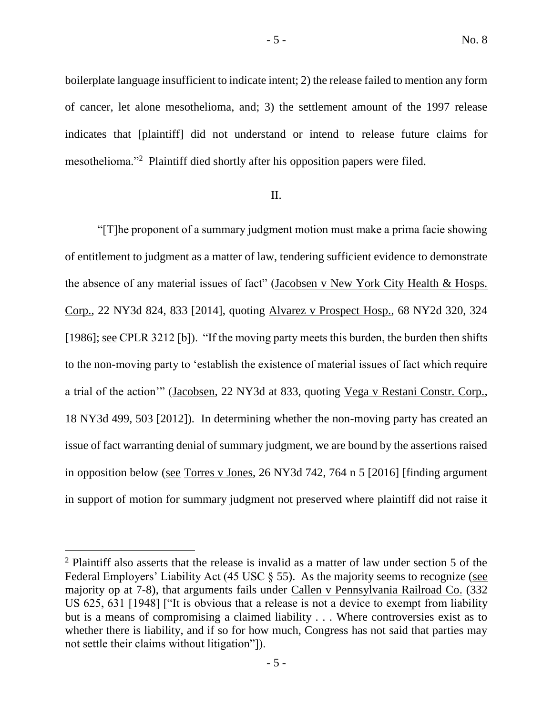boilerplate language insufficient to indicate intent; 2) the release failed to mention any form of cancer, let alone mesothelioma, and; 3) the settlement amount of the 1997 release indicates that [plaintiff] did not understand or intend to release future claims for mesothelioma."<sup>2</sup> Plaintiff died shortly after his opposition papers were filed.

# II.

"[T]he proponent of a summary judgment motion must make a prima facie showing of entitlement to judgment as a matter of law, tendering sufficient evidence to demonstrate the absence of any material issues of fact" (Jacobsen v New York City Health & Hosps. Corp., 22 NY3d 824, 833 [2014], quoting Alvarez v Prospect Hosp., 68 NY2d 320, 324 [1986]; see CPLR 3212 [b]). "If the moving party meets this burden, the burden then shifts to the non-moving party to 'establish the existence of material issues of fact which require a trial of the action'" (Jacobsen, 22 NY3d at 833, quoting Vega v Restani Constr. Corp., 18 NY3d 499, 503 [2012]). In determining whether the non-moving party has created an issue of fact warranting denial of summary judgment, we are bound by the assertions raised in opposition below (see Torres v Jones, 26 NY3d 742, 764 n 5 [2016] [finding argument in support of motion for summary judgment not preserved where plaintiff did not raise it

<sup>&</sup>lt;sup>2</sup> Plaintiff also asserts that the release is invalid as a matter of law under section 5 of the Federal Employers' Liability Act (45 USC  $\S$  55). As the majority seems to recognize (see majority op at 7-8), that arguments fails under Callen v Pennsylvania Railroad Co. (332 US 625, 631 [1948] ["It is obvious that a release is not a device to exempt from liability but is a means of compromising a claimed liability . . . Where controversies exist as to whether there is liability, and if so for how much, Congress has not said that parties may not settle their claims without litigation"]).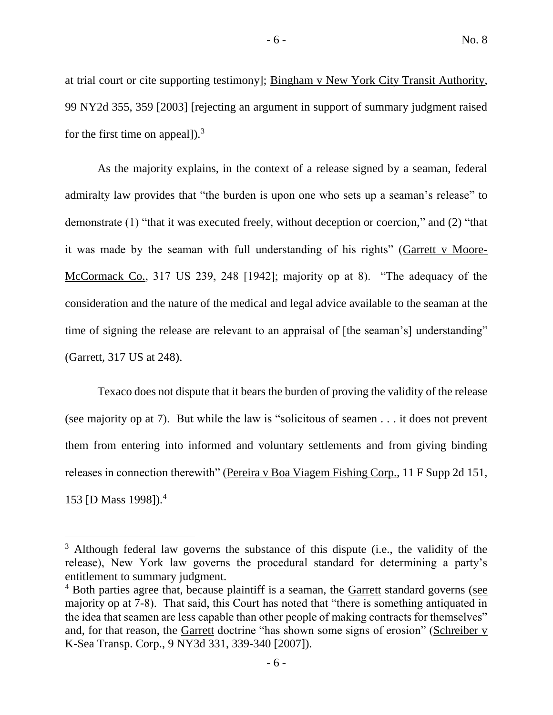at trial court or cite supporting testimony]; Bingham v New York City Transit Authority, 99 NY2d 355, 359 [2003] [rejecting an argument in support of summary judgment raised for the first time on appeal]).<sup>3</sup>

As the majority explains, in the context of a release signed by a seaman, federal admiralty law provides that "the burden is upon one who sets up a seaman's release" to demonstrate (1) "that it was executed freely, without deception or coercion," and (2) "that it was made by the seaman with full understanding of his rights" (Garrett v Moore-McCormack Co., 317 US 239, 248 [1942]; majority op at 8). "The adequacy of the consideration and the nature of the medical and legal advice available to the seaman at the time of signing the release are relevant to an appraisal of [the seaman's] understanding" (Garrett, 317 US at 248).

Texaco does not dispute that it bears the burden of proving the validity of the release (see majority op at 7). But while the law is "solicitous of seamen . . . it does not prevent them from entering into informed and voluntary settlements and from giving binding releases in connection therewith" (Pereira v Boa Viagem Fishing Corp., 11 F Supp 2d 151, 153 [D Mass 1998]).<sup>4</sup>

<sup>&</sup>lt;sup>3</sup> Although federal law governs the substance of this dispute (i.e., the validity of the release), New York law governs the procedural standard for determining a party's entitlement to summary judgment.

 $4$  Both parties agree that, because plaintiff is a seaman, the Garrett standard governs (see majority op at 7-8). That said, this Court has noted that "there is something antiquated in the idea that seamen are less capable than other people of making contracts for themselves" and, for that reason, the Garrett doctrine "has shown some signs of erosion" (Schreiber v K-Sea Transp. Corp., 9 NY3d 331, 339-340 [2007]).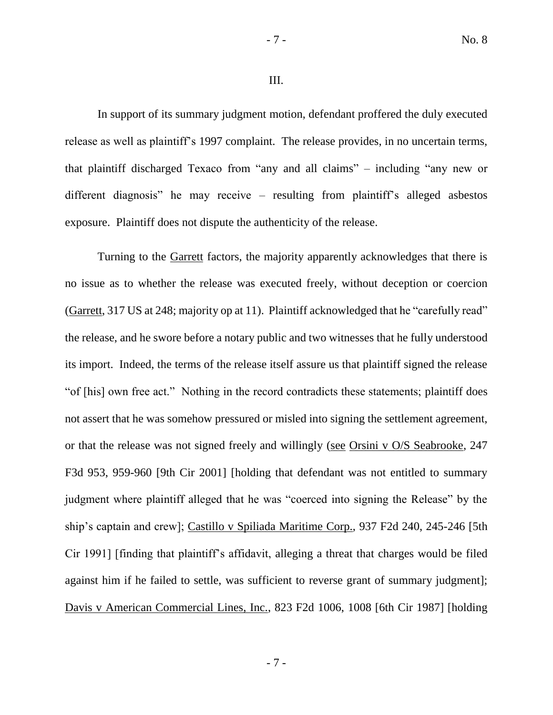#### III.

In support of its summary judgment motion, defendant proffered the duly executed release as well as plaintiff's 1997 complaint. The release provides, in no uncertain terms, that plaintiff discharged Texaco from "any and all claims" – including "any new or different diagnosis" he may receive – resulting from plaintiff's alleged asbestos exposure. Plaintiff does not dispute the authenticity of the release.

Turning to the Garrett factors, the majority apparently acknowledges that there is no issue as to whether the release was executed freely, without deception or coercion (Garrett, 317 US at 248; majority op at 11). Plaintiff acknowledged that he "carefully read" the release, and he swore before a notary public and two witnesses that he fully understood its import. Indeed, the terms of the release itself assure us that plaintiff signed the release "of [his] own free act." Nothing in the record contradicts these statements; plaintiff does not assert that he was somehow pressured or misled into signing the settlement agreement, or that the release was not signed freely and willingly (see Orsini v O/S Seabrooke, 247 F3d 953, 959-960 [9th Cir 2001] [holding that defendant was not entitled to summary judgment where plaintiff alleged that he was "coerced into signing the Release" by the ship's captain and crew]; Castillo v Spiliada Maritime Corp., 937 F2d 240, 245-246 [5th Cir 1991] [finding that plaintiff's affidavit, alleging a threat that charges would be filed against him if he failed to settle, was sufficient to reverse grant of summary judgment]; Davis v American Commercial Lines, Inc., 823 F2d 1006, 1008 [6th Cir 1987] [holding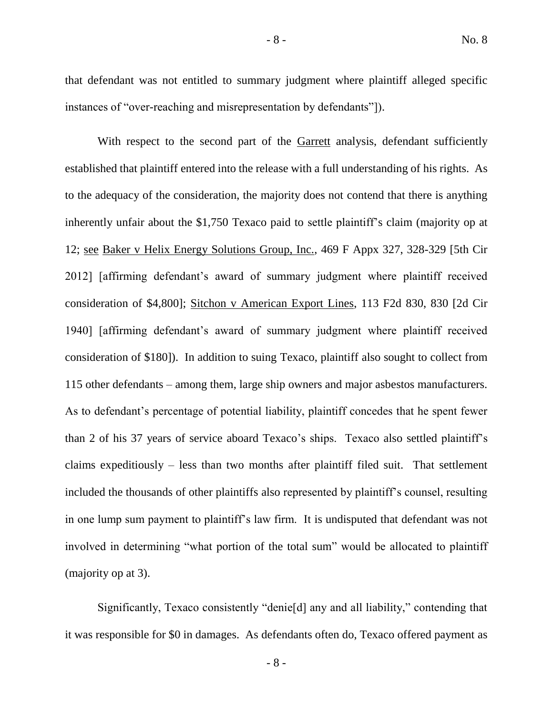that defendant was not entitled to summary judgment where plaintiff alleged specific instances of "over-reaching and misrepresentation by defendants"]).

With respect to the second part of the Garrett analysis, defendant sufficiently established that plaintiff entered into the release with a full understanding of his rights. As to the adequacy of the consideration, the majority does not contend that there is anything inherently unfair about the \$1,750 Texaco paid to settle plaintiff's claim (majority op at 12; see Baker v Helix Energy Solutions Group, Inc., 469 F Appx 327, 328-329 [5th Cir 2012] [affirming defendant's award of summary judgment where plaintiff received consideration of \$4,800]; Sitchon v American Export Lines, 113 F2d 830, 830 [2d Cir 1940] [affirming defendant's award of summary judgment where plaintiff received consideration of \$180]). In addition to suing Texaco, plaintiff also sought to collect from 115 other defendants – among them, large ship owners and major asbestos manufacturers. As to defendant's percentage of potential liability, plaintiff concedes that he spent fewer than 2 of his 37 years of service aboard Texaco's ships. Texaco also settled plaintiff's claims expeditiously – less than two months after plaintiff filed suit. That settlement included the thousands of other plaintiffs also represented by plaintiff's counsel, resulting in one lump sum payment to plaintiff's law firm. It is undisputed that defendant was not involved in determining "what portion of the total sum" would be allocated to plaintiff (majority op at 3).

Significantly, Texaco consistently "denie[d] any and all liability," contending that it was responsible for \$0 in damages. As defendants often do, Texaco offered payment as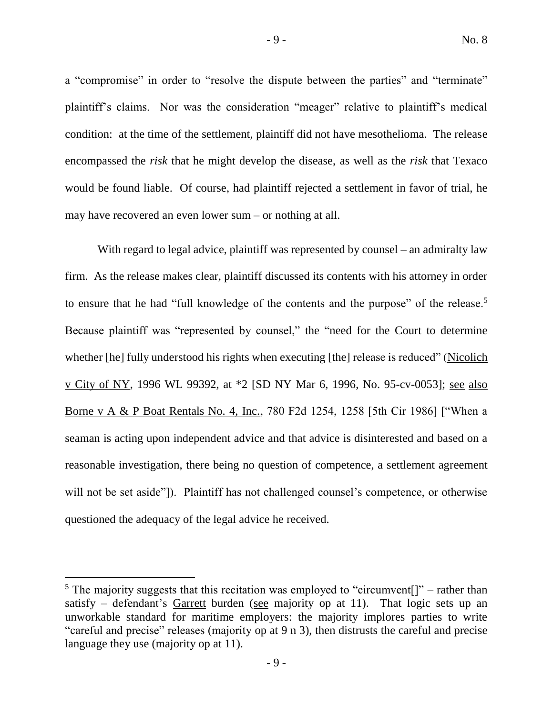a "compromise" in order to "resolve the dispute between the parties" and "terminate" plaintiff's claims. Nor was the consideration "meager" relative to plaintiff's medical condition: at the time of the settlement, plaintiff did not have mesothelioma. The release encompassed the *risk* that he might develop the disease, as well as the *risk* that Texaco would be found liable. Of course, had plaintiff rejected a settlement in favor of trial, he may have recovered an even lower sum – or nothing at all.

With regard to legal advice, plaintiff was represented by counsel – an admiralty law firm. As the release makes clear, plaintiff discussed its contents with his attorney in order to ensure that he had "full knowledge of the contents and the purpose" of the release.<sup>5</sup> Because plaintiff was "represented by counsel," the "need for the Court to determine whether [he] fully understood his rights when executing [the] release is reduced" (Nicolich v City of NY, 1996 WL 99392, at \*2 [SD NY Mar 6, 1996, No. 95-cv-0053]; see also Borne v A & P Boat Rentals No. 4, Inc., 780 F2d 1254, 1258 [5th Cir 1986] ["When a seaman is acting upon independent advice and that advice is disinterested and based on a reasonable investigation, there being no question of competence, a settlement agreement will not be set aside"]). Plaintiff has not challenged counsel's competence, or otherwise questioned the adequacy of the legal advice he received.

<sup>&</sup>lt;sup>5</sup> The majority suggests that this recitation was employed to "circumvent[]" – rather than satisfy – defendant's Garrett burden (see majority op at 11). That logic sets up an unworkable standard for maritime employers: the majority implores parties to write "careful and precise" releases (majority op at 9 n 3), then distrusts the careful and precise language they use (majority op at 11).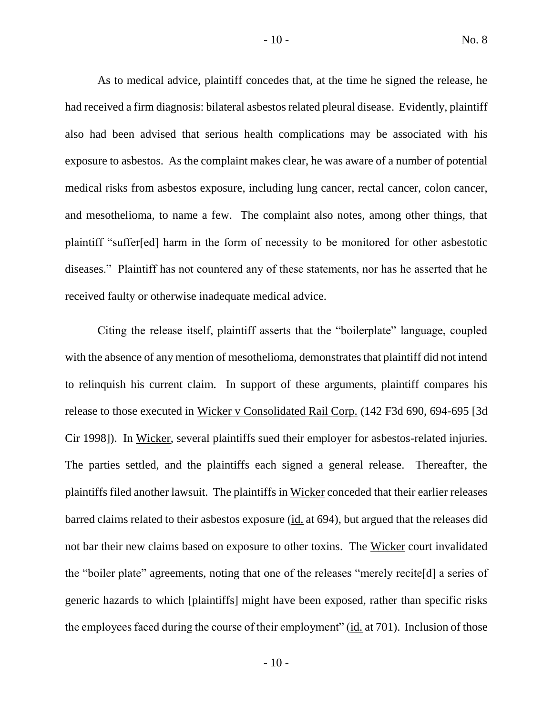As to medical advice, plaintiff concedes that, at the time he signed the release, he had received a firm diagnosis: bilateral asbestos related pleural disease. Evidently, plaintiff also had been advised that serious health complications may be associated with his exposure to asbestos. As the complaint makes clear, he was aware of a number of potential medical risks from asbestos exposure, including lung cancer, rectal cancer, colon cancer, and mesothelioma, to name a few. The complaint also notes, among other things, that plaintiff "suffer[ed] harm in the form of necessity to be monitored for other asbestotic diseases." Plaintiff has not countered any of these statements, nor has he asserted that he received faulty or otherwise inadequate medical advice.

Citing the release itself, plaintiff asserts that the "boilerplate" language, coupled with the absence of any mention of mesothelioma, demonstrates that plaintiff did not intend to relinquish his current claim. In support of these arguments, plaintiff compares his release to those executed in Wicker v Consolidated Rail Corp. (142 F3d 690, 694-695 [3d Cir 1998]). In Wicker, several plaintiffs sued their employer for asbestos-related injuries. The parties settled, and the plaintiffs each signed a general release. Thereafter, the plaintiffs filed another lawsuit. The plaintiffs in Wicker conceded that their earlier releases barred claims related to their asbestos exposure (id. at 694), but argued that the releases did not bar their new claims based on exposure to other toxins. The Wicker court invalidated the "boiler plate" agreements, noting that one of the releases "merely recite[d] a series of generic hazards to which [plaintiffs] might have been exposed, rather than specific risks the employees faced during the course of their employment" (id. at 701). Inclusion of those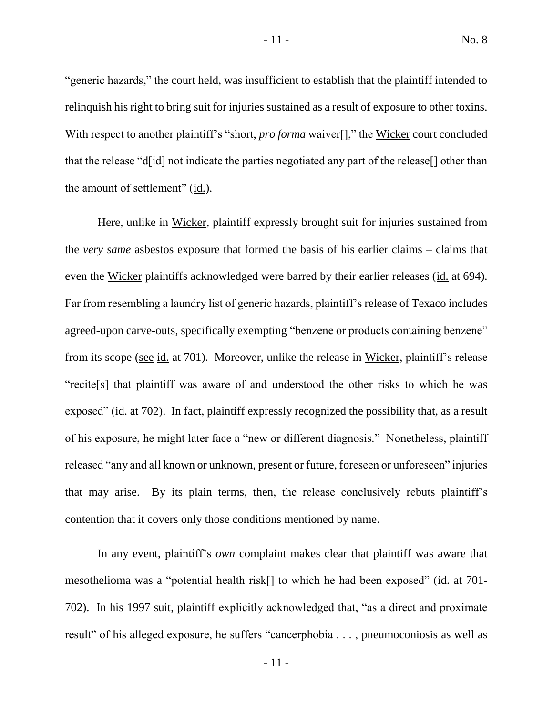"generic hazards," the court held, was insufficient to establish that the plaintiff intended to relinquish his right to bring suit for injuries sustained as a result of exposure to other toxins. With respect to another plaintiff's "short, *pro forma* waiver[]," the Wicker court concluded that the release "d[id] not indicate the parties negotiated any part of the release[] other than the amount of settlement" (id.).

Here, unlike in Wicker, plaintiff expressly brought suit for injuries sustained from the *very same* asbestos exposure that formed the basis of his earlier claims – claims that even the Wicker plaintiffs acknowledged were barred by their earlier releases (id. at 694). Far from resembling a laundry list of generic hazards, plaintiff's release of Texaco includes agreed-upon carve-outs, specifically exempting "benzene or products containing benzene" from its scope (see id. at 701). Moreover, unlike the release in Wicker, plaintiff's release "recite[s] that plaintiff was aware of and understood the other risks to which he was exposed" (id. at 702). In fact, plaintiff expressly recognized the possibility that, as a result of his exposure, he might later face a "new or different diagnosis." Nonetheless, plaintiff released "any and all known or unknown, present or future, foreseen or unforeseen" injuries that may arise. By its plain terms, then, the release conclusively rebuts plaintiff's contention that it covers only those conditions mentioned by name.

In any event, plaintiff's *own* complaint makes clear that plaintiff was aware that mesothelioma was a "potential health risk[] to which he had been exposed" (id. at 701- 702). In his 1997 suit, plaintiff explicitly acknowledged that, "as a direct and proximate result" of his alleged exposure, he suffers "cancerphobia . . . , pneumoconiosis as well as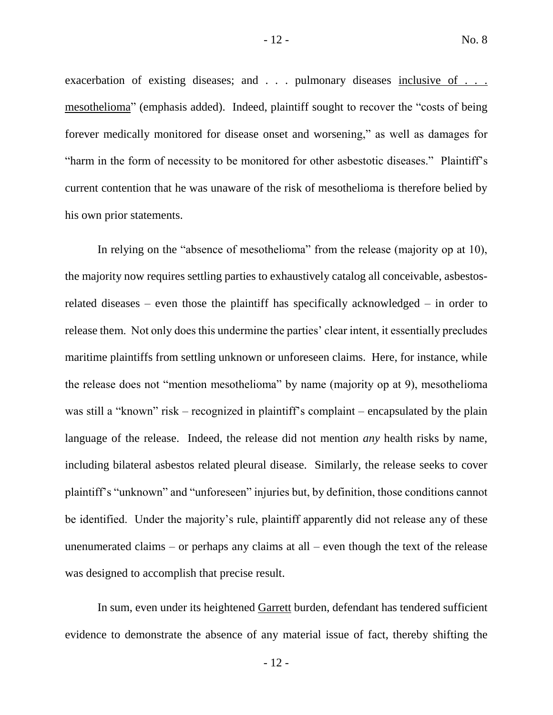exacerbation of existing diseases; and . . . pulmonary diseases inclusive of . . . mesothelioma" (emphasis added). Indeed, plaintiff sought to recover the "costs of being forever medically monitored for disease onset and worsening," as well as damages for "harm in the form of necessity to be monitored for other asbestotic diseases." Plaintiff's current contention that he was unaware of the risk of mesothelioma is therefore belied by his own prior statements.

In relying on the "absence of mesothelioma" from the release (majority op at 10), the majority now requires settling parties to exhaustively catalog all conceivable, asbestosrelated diseases – even those the plaintiff has specifically acknowledged – in order to release them. Not only does this undermine the parties' clear intent, it essentially precludes maritime plaintiffs from settling unknown or unforeseen claims. Here, for instance, while the release does not "mention mesothelioma" by name (majority op at 9), mesothelioma was still a "known" risk – recognized in plaintiff's complaint – encapsulated by the plain language of the release. Indeed, the release did not mention *any* health risks by name, including bilateral asbestos related pleural disease. Similarly, the release seeks to cover plaintiff's "unknown" and "unforeseen" injuries but, by definition, those conditions cannot be identified. Under the majority's rule, plaintiff apparently did not release any of these unenumerated claims – or perhaps any claims at all – even though the text of the release was designed to accomplish that precise result.

In sum, even under its heightened Garrett burden, defendant has tendered sufficient evidence to demonstrate the absence of any material issue of fact, thereby shifting the

 $-12-$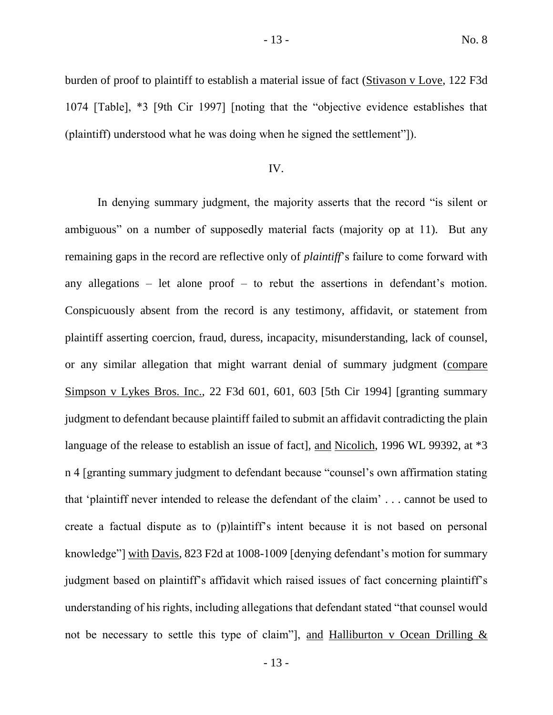## IV.

(plaintiff) understood what he was doing when he signed the settlement"]).

In denying summary judgment, the majority asserts that the record "is silent or ambiguous" on a number of supposedly material facts (majority op at 11). But any remaining gaps in the record are reflective only of *plaintiff*'s failure to come forward with any allegations – let alone proof – to rebut the assertions in defendant's motion. Conspicuously absent from the record is any testimony, affidavit, or statement from plaintiff asserting coercion, fraud, duress, incapacity, misunderstanding, lack of counsel, or any similar allegation that might warrant denial of summary judgment (compare Simpson v Lykes Bros. Inc., 22 F3d 601, 601, 603 [5th Cir 1994] [granting summary judgment to defendant because plaintiff failed to submit an affidavit contradicting the plain language of the release to establish an issue of fact], and Nicolich, 1996 WL 99392, at  $*3$ n 4 [granting summary judgment to defendant because "counsel's own affirmation stating that 'plaintiff never intended to release the defendant of the claim' . . . cannot be used to create a factual dispute as to (p)laintiff's intent because it is not based on personal knowledge"] with Davis, 823 F2d at 1008-1009 [denying defendant's motion for summary judgment based on plaintiff's affidavit which raised issues of fact concerning plaintiff's understanding of his rights, including allegations that defendant stated "that counsel would not be necessary to settle this type of claim"], and Halliburton v Ocean Drilling  $&$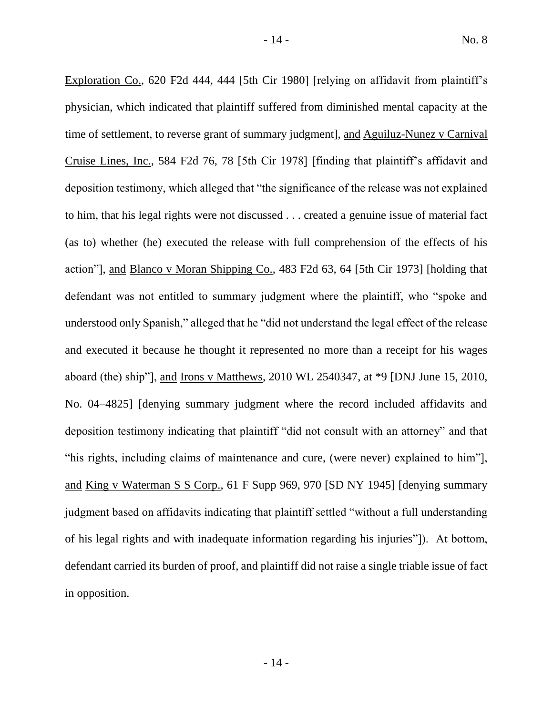Exploration Co., 620 F2d 444, 444 [5th Cir 1980] [relying on affidavit from plaintiff's physician, which indicated that plaintiff suffered from diminished mental capacity at the time of settlement, to reverse grant of summary judgment], and Aguiluz-Nunez v Carnival Cruise Lines, Inc., 584 F2d 76, 78 [5th Cir 1978] [finding that plaintiff's affidavit and deposition testimony, which alleged that "the significance of the release was not explained to him, that his legal rights were not discussed . . . created a genuine issue of material fact (as to) whether (he) executed the release with full comprehension of the effects of his action"], and Blanco v Moran Shipping Co., 483 F2d 63, 64 [5th Cir 1973] [holding that defendant was not entitled to summary judgment where the plaintiff, who "spoke and understood only Spanish," alleged that he "did not understand the legal effect of the release and executed it because he thought it represented no more than a receipt for his wages aboard (the) ship"], and Irons v Matthews, 2010 WL 2540347, at \*9 [DNJ June 15, 2010, No. 04–4825] [denying summary judgment where the record included affidavits and deposition testimony indicating that plaintiff "did not consult with an attorney" and that "his rights, including claims of maintenance and cure, (were never) explained to him"], and King v Waterman S S Corp., 61 F Supp 969, 970 [SD NY 1945] [denying summary judgment based on affidavits indicating that plaintiff settled "without a full understanding of his legal rights and with inadequate information regarding his injuries"]). At bottom, defendant carried its burden of proof, and plaintiff did not raise a single triable issue of fact in opposition.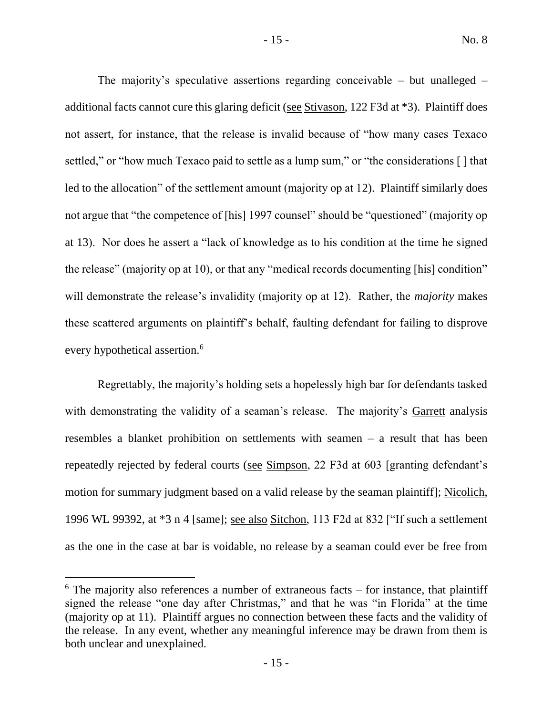The majority's speculative assertions regarding conceivable – but unalleged – additional facts cannot cure this glaring deficit (see Stivason, 122 F3d at \*3). Plaintiff does not assert, for instance, that the release is invalid because of "how many cases Texaco settled," or "how much Texaco paid to settle as a lump sum," or "the considerations [] that led to the allocation" of the settlement amount (majority op at 12). Plaintiff similarly does not argue that "the competence of [his] 1997 counsel" should be "questioned" (majority op at 13). Nor does he assert a "lack of knowledge as to his condition at the time he signed the release" (majority op at 10), or that any "medical records documenting [his] condition" will demonstrate the release's invalidity (majority op at 12). Rather, the *majority* makes these scattered arguments on plaintiff's behalf, faulting defendant for failing to disprove every hypothetical assertion.<sup>6</sup>

Regrettably, the majority's holding sets a hopelessly high bar for defendants tasked with demonstrating the validity of a seaman's release. The majority's Garrett analysis resembles a blanket prohibition on settlements with seamen – a result that has been repeatedly rejected by federal courts (see Simpson, 22 F3d at 603 [granting defendant's motion for summary judgment based on a valid release by the seaman plaintiff]; Nicolich, 1996 WL 99392, at \*3 n 4 [same]; see also Sitchon, 113 F2d at 832 ["If such a settlement as the one in the case at bar is voidable, no release by a seaman could ever be free from

 $6$  The majority also references a number of extraneous facts – for instance, that plaintiff signed the release "one day after Christmas," and that he was "in Florida" at the time (majority op at 11). Plaintiff argues no connection between these facts and the validity of the release. In any event, whether any meaningful inference may be drawn from them is both unclear and unexplained.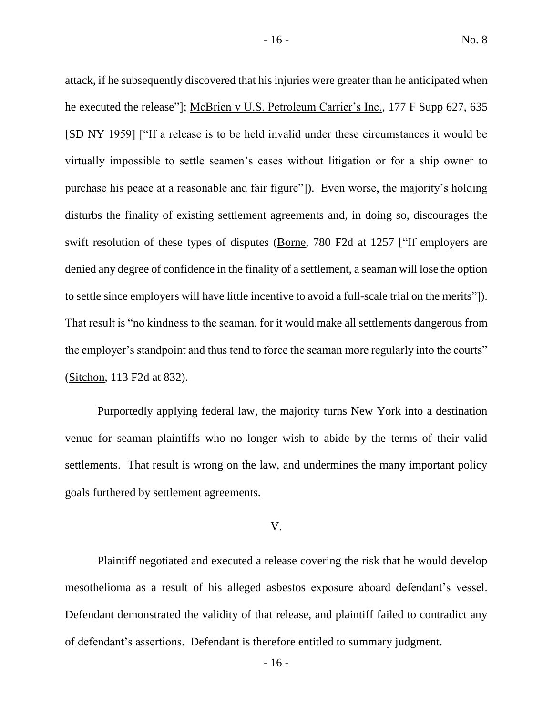attack, if he subsequently discovered that his injuries were greater than he anticipated when he executed the release"]; McBrien v U.S. Petroleum Carrier's Inc., 177 F Supp 627, 635 [SD NY 1959] ["If a release is to be held invalid under these circumstances it would be virtually impossible to settle seamen's cases without litigation or for a ship owner to purchase his peace at a reasonable and fair figure"]). Even worse, the majority's holding disturbs the finality of existing settlement agreements and, in doing so, discourages the swift resolution of these types of disputes (Borne, 780 F2d at 1257 ["If employers are denied any degree of confidence in the finality of a settlement, a seaman will lose the option to settle since employers will have little incentive to avoid a full-scale trial on the merits"]). That result is "no kindness to the seaman, for it would make all settlements dangerous from the employer's standpoint and thus tend to force the seaman more regularly into the courts" (Sitchon, 113 F2d at 832).

Purportedly applying federal law, the majority turns New York into a destination venue for seaman plaintiffs who no longer wish to abide by the terms of their valid settlements. That result is wrong on the law, and undermines the many important policy goals furthered by settlement agreements.

#### V.

Plaintiff negotiated and executed a release covering the risk that he would develop mesothelioma as a result of his alleged asbestos exposure aboard defendant's vessel. Defendant demonstrated the validity of that release, and plaintiff failed to contradict any of defendant's assertions. Defendant is therefore entitled to summary judgment.